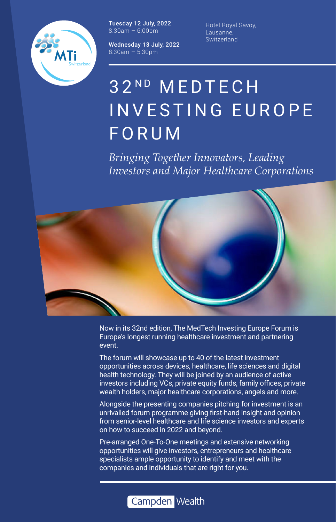

Tuesday 12 July, 2022  $8.30$ am – 6:00pm

Wednesday 13 July, 2022 8:30am – 5:30pm

Hotel Royal Savoy, Lausanne, **Switzerland** 

# 32ND MEDTECH INVESTING EUROPE FORUM

*Bringing Together Innovators, Leading Investors and Major Healthcare Corporations*



Now in its 32nd edition, The MedTech Investing Europe Forum is Europe's longest running healthcare investment and partnering event.

The forum will showcase up to 40 of the latest investment opportunities across devices, healthcare, life sciences and digital health technology. They will be joined by an audience of active investors including VCs, private equity funds, family offices, private wealth holders, major healthcare corporations, angels and more.

Alongside the presenting companies pitching for investment is an unrivalled forum programme giving first-hand insight and opinion from senior-level healthcare and life science investors and experts on how to succeed in 2022 and beyond.

Pre-arranged One-To-One meetings and extensive networking opportunities will give investors, entrepreneurs and healthcare specialists ample opportunity to identify and meet with the companies and individuals that are right for you.

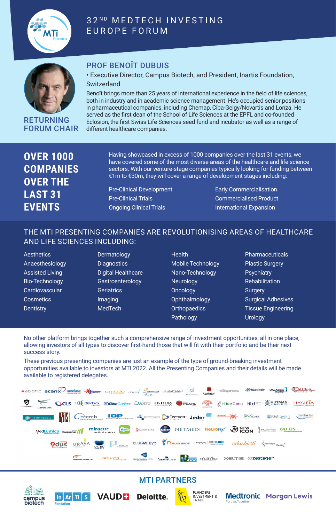

#### 32ND MEDTECH INVESTING EUROPE FORUM



RETURNING FORUM CHAIR

#### PROF BENOÎT DUBUIS

#### • Executive Director, Campus Biotech, and President, Inartis Foundation, Switzerland

Benoît brings more than 25 years of international experience in the field of life sciences, both in industry and in academic science management. He's occupied senior positions in pharmaceutical companies, including Chemap, Ciba-Geigy/Novartis and Lonza. He served as the first dean of the School of Life Sciences at the EPFL and co-founded Eclosion, the first Swiss Life Sciences seed fund and incubator as well as a range of different healthcare companies.

| <b>OVER 1000</b> |
|------------------|
| <b>COMPANIES</b> |
| <b>OVER THE</b>  |
| <b>LAST 31</b>   |
| <b>EVENTS</b>    |

Having showcased in excess of 1000 companies over the last 31 events, we have covered some of the most diverse areas of the healthcare and life science sectors. With our venture-stage companies typically looking for funding between €1m to €30m, they will cover a range of development stages including:

Pre-Clinical Development Pre-Clinical Trials Ongoing Clinical Trials

Early Commercialisation Commercialised Product International Expansion

#### THE MTI PRESENTING COMPANIES ARE REVOLUTIONISING AREAS OF HEALTHCARE AND LIFE SCIENCES INCLUDING:

**Aesthetics** Anaesthesiology Assisted Living Bio-Technology **Cardiovascular Cosmetics Dentistry** 

Dermatology **Diagnostics** Digital Healthcare Gastroenterology **Geriatrics** Imaging MedTech

- **Health** Mobile Technology Nano-Technology **Neurology Oncology Ophthalmology Orthopaedics** Pathology
- **Pharmaceuticals** Plastic Surgery **Psychiatry Rehabilitation Surgery** Surgical Adhesives Tissue Engineering **Urology**

No other platform brings together such a comprehensive range of investment opportunities, all in one place, allowing investors of all types to discover first-hand those that will fit with their portfolio and be their next success story.

These previous presenting companies are just an example of the type of ground-breaking investment opportunities available to investors at MTI 2022. All the Presenting Companies and their details will be made available to registered delegates.



#### MTI PARTNERS



**Fondation** 





**Medtronic Morgan Lewis** Further, Togethe